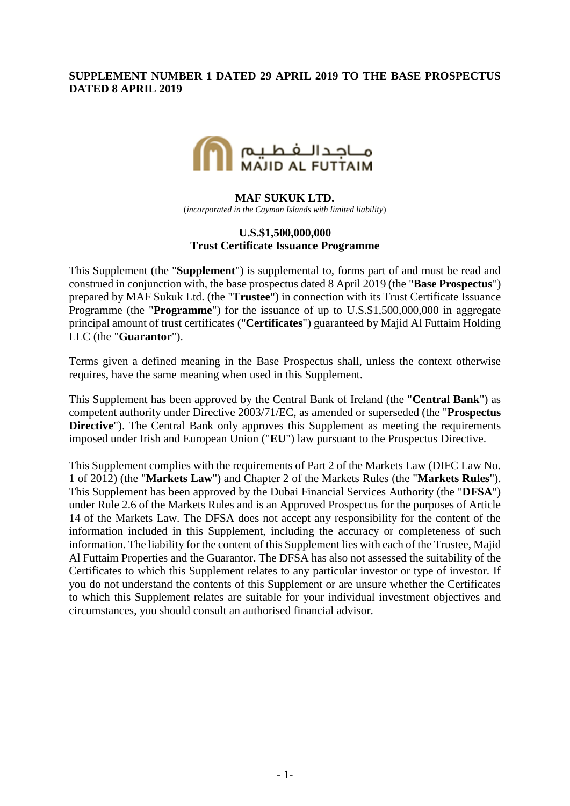## **SUPPLEMENT NUMBER 1 DATED 29 APRIL 2019 TO THE BASE PROSPECTUS DATED 8 APRIL 2019**



#### **MAF SUKUK LTD.**

(*incorporated in the Cayman Islands with limited liability*)

## **U.S.\$1,500,000,000 Trust Certificate Issuance Programme**

This Supplement (the "**Supplement**") is supplemental to, forms part of and must be read and construed in conjunction with, the base prospectus dated 8 April 2019 (the "**Base Prospectus**") prepared by MAF Sukuk Ltd. (the "**Trustee**") in connection with its Trust Certificate Issuance Programme (the "**Programme**") for the issuance of up to U.S.\$1,500,000,000 in aggregate principal amount of trust certificates ("**Certificates**") guaranteed by Majid Al Futtaim Holding LLC (the "**Guarantor**").

Terms given a defined meaning in the Base Prospectus shall, unless the context otherwise requires, have the same meaning when used in this Supplement.

This Supplement has been approved by the Central Bank of Ireland (the "**Central Bank**") as competent authority under Directive 2003/71/EC, as amended or superseded (the "**Prospectus Directive**"). The Central Bank only approves this Supplement as meeting the requirements imposed under Irish and European Union ("**EU**") law pursuant to the Prospectus Directive.

This Supplement complies with the requirements of Part 2 of the Markets Law (DIFC Law No. 1 of 2012) (the "**Markets Law**") and Chapter 2 of the Markets Rules (the "**Markets Rules**"). This Supplement has been approved by the Dubai Financial Services Authority (the "**DFSA**") under Rule 2.6 of the Markets Rules and is an Approved Prospectus for the purposes of Article 14 of the Markets Law. The DFSA does not accept any responsibility for the content of the information included in this Supplement, including the accuracy or completeness of such information. The liability for the content of this Supplement lies with each of the Trustee, Majid Al Futtaim Properties and the Guarantor. The DFSA has also not assessed the suitability of the Certificates to which this Supplement relates to any particular investor or type of investor. If you do not understand the contents of this Supplement or are unsure whether the Certificates to which this Supplement relates are suitable for your individual investment objectives and circumstances, you should consult an authorised financial advisor.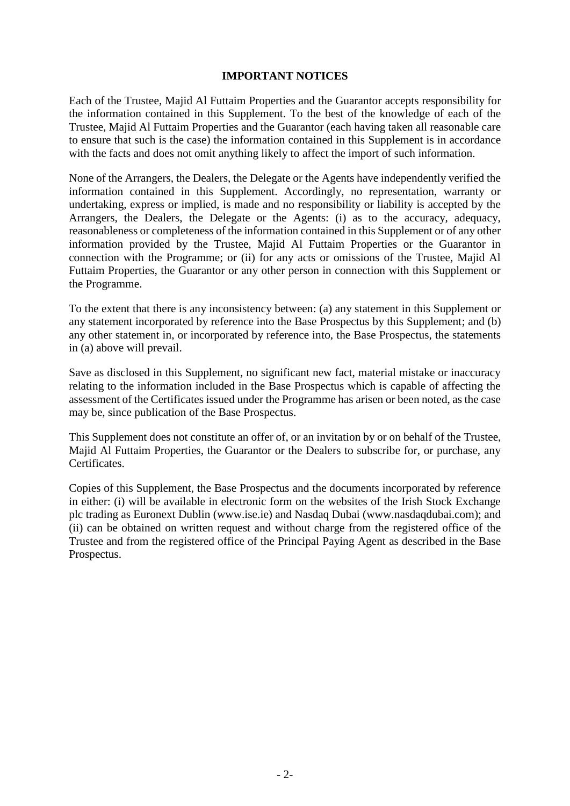### **IMPORTANT NOTICES**

Each of the Trustee, Majid Al Futtaim Properties and the Guarantor accepts responsibility for the information contained in this Supplement. To the best of the knowledge of each of the Trustee, Majid Al Futtaim Properties and the Guarantor (each having taken all reasonable care to ensure that such is the case) the information contained in this Supplement is in accordance with the facts and does not omit anything likely to affect the import of such information.

None of the Arrangers, the Dealers, the Delegate or the Agents have independently verified the information contained in this Supplement. Accordingly, no representation, warranty or undertaking, express or implied, is made and no responsibility or liability is accepted by the Arrangers, the Dealers, the Delegate or the Agents: (i) as to the accuracy, adequacy, reasonableness or completeness of the information contained in this Supplement or of any other information provided by the Trustee, Majid Al Futtaim Properties or the Guarantor in connection with the Programme; or (ii) for any acts or omissions of the Trustee, Majid Al Futtaim Properties, the Guarantor or any other person in connection with this Supplement or the Programme.

To the extent that there is any inconsistency between: (a) any statement in this Supplement or any statement incorporated by reference into the Base Prospectus by this Supplement; and (b) any other statement in, or incorporated by reference into, the Base Prospectus, the statements in (a) above will prevail.

Save as disclosed in this Supplement, no significant new fact, material mistake or inaccuracy relating to the information included in the Base Prospectus which is capable of affecting the assessment of the Certificates issued under the Programme has arisen or been noted, as the case may be, since publication of the Base Prospectus.

This Supplement does not constitute an offer of, or an invitation by or on behalf of the Trustee, Majid Al Futtaim Properties, the Guarantor or the Dealers to subscribe for, or purchase, any Certificates.

Copies of this Supplement, the Base Prospectus and the documents incorporated by reference in either: (i) will be available in electronic form on the websites of the Irish Stock Exchange plc trading as Euronext Dublin (www.ise.ie) and Nasdaq Dubai (www.nasdaqdubai.com); and (ii) can be obtained on written request and without charge from the registered office of the Trustee and from the registered office of the Principal Paying Agent as described in the Base Prospectus.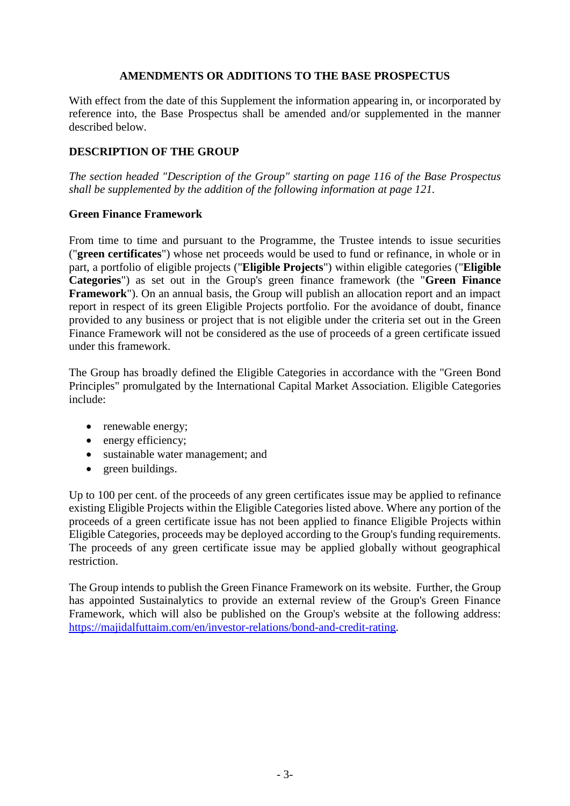## **AMENDMENTS OR ADDITIONS TO THE BASE PROSPECTUS**

With effect from the date of this Supplement the information appearing in, or incorporated by reference into, the Base Prospectus shall be amended and/or supplemented in the manner described below.

## **DESCRIPTION OF THE GROUP**

*The section headed "Description of the Group" starting on page 116 of the Base Prospectus shall be supplemented by the addition of the following information at page 121.*

#### **Green Finance Framework**

From time to time and pursuant to the Programme, the Trustee intends to issue securities ("**green certificates**") whose net proceeds would be used to fund or refinance, in whole or in part, a portfolio of eligible projects ("**Eligible Projects**") within eligible categories ("**Eligible Categories**") as set out in the Group's green finance framework (the "**Green Finance Framework**"). On an annual basis, the Group will publish an allocation report and an impact report in respect of its green Eligible Projects portfolio. For the avoidance of doubt, finance provided to any business or project that is not eligible under the criteria set out in the Green Finance Framework will not be considered as the use of proceeds of a green certificate issued under this framework.

The Group has broadly defined the Eligible Categories in accordance with the "Green Bond Principles" promulgated by the International Capital Market Association. Eligible Categories include:

- renewable energy;
- energy efficiency;
- sustainable water management; and
- green buildings.

Up to 100 per cent. of the proceeds of any green certificates issue may be applied to refinance existing Eligible Projects within the Eligible Categories listed above. Where any portion of the proceeds of a green certificate issue has not been applied to finance Eligible Projects within Eligible Categories, proceeds may be deployed according to the Group's funding requirements. The proceeds of any green certificate issue may be applied globally without geographical restriction.

The Group intends to publish the Green Finance Framework on its website. Further, the Group has appointed Sustainalytics to provide an external review of the Group's Green Finance Framework, which will also be published on the Group's website at the following address: [https://majidalfuttaim.com/en/investor-relations/bond-and-credit-rating.](https://majidalfuttaim.com/en/investor-relations/bond-and-credit-rating)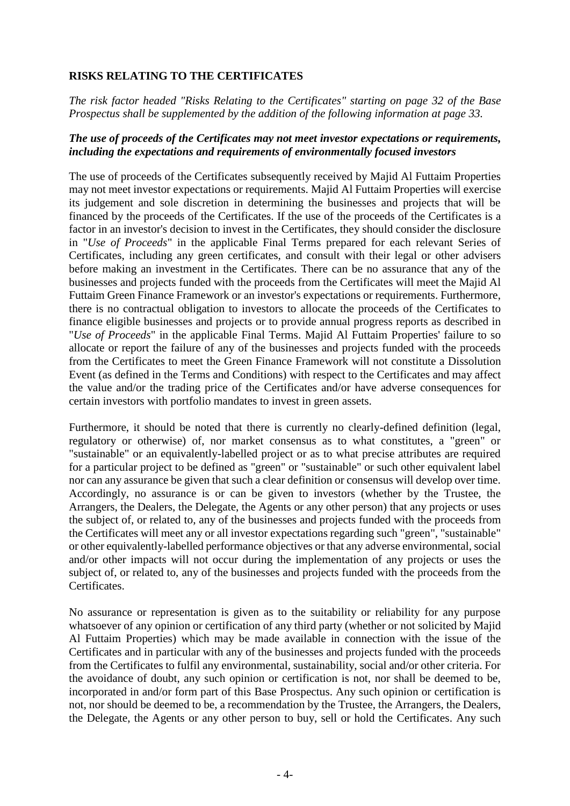# **RISKS RELATING TO THE CERTIFICATES**

*The risk factor headed "Risks Relating to the Certificates" starting on page 32 of the Base Prospectus shall be supplemented by the addition of the following information at page 33.*

## *The use of proceeds of the Certificates may not meet investor expectations or requirements, including the expectations and requirements of environmentally focused investors*

The use of proceeds of the Certificates subsequently received by Majid Al Futtaim Properties may not meet investor expectations or requirements. Majid Al Futtaim Properties will exercise its judgement and sole discretion in determining the businesses and projects that will be financed by the proceeds of the Certificates. If the use of the proceeds of the Certificates is a factor in an investor's decision to invest in the Certificates, they should consider the disclosure in "*Use of Proceeds*" in the applicable Final Terms prepared for each relevant Series of Certificates, including any green certificates, and consult with their legal or other advisers before making an investment in the Certificates. There can be no assurance that any of the businesses and projects funded with the proceeds from the Certificates will meet the Majid Al Futtaim Green Finance Framework or an investor's expectations or requirements. Furthermore, there is no contractual obligation to investors to allocate the proceeds of the Certificates to finance eligible businesses and projects or to provide annual progress reports as described in "*Use of Proceeds*" in the applicable Final Terms. Majid Al Futtaim Properties' failure to so allocate or report the failure of any of the businesses and projects funded with the proceeds from the Certificates to meet the Green Finance Framework will not constitute a Dissolution Event (as defined in the Terms and Conditions) with respect to the Certificates and may affect the value and/or the trading price of the Certificates and/or have adverse consequences for certain investors with portfolio mandates to invest in green assets.

Furthermore, it should be noted that there is currently no clearly-defined definition (legal, regulatory or otherwise) of, nor market consensus as to what constitutes, a "green" or "sustainable" or an equivalently-labelled project or as to what precise attributes are required for a particular project to be defined as "green" or "sustainable" or such other equivalent label nor can any assurance be given that such a clear definition or consensus will develop over time. Accordingly, no assurance is or can be given to investors (whether by the Trustee, the Arrangers, the Dealers, the Delegate, the Agents or any other person) that any projects or uses the subject of, or related to, any of the businesses and projects funded with the proceeds from the Certificates will meet any or all investor expectations regarding such "green", "sustainable" or other equivalently-labelled performance objectives or that any adverse environmental, social and/or other impacts will not occur during the implementation of any projects or uses the subject of, or related to, any of the businesses and projects funded with the proceeds from the Certificates.

No assurance or representation is given as to the suitability or reliability for any purpose whatsoever of any opinion or certification of any third party (whether or not solicited by Majid Al Futtaim Properties) which may be made available in connection with the issue of the Certificates and in particular with any of the businesses and projects funded with the proceeds from the Certificates to fulfil any environmental, sustainability, social and/or other criteria. For the avoidance of doubt, any such opinion or certification is not, nor shall be deemed to be, incorporated in and/or form part of this Base Prospectus. Any such opinion or certification is not, nor should be deemed to be, a recommendation by the Trustee, the Arrangers, the Dealers, the Delegate, the Agents or any other person to buy, sell or hold the Certificates. Any such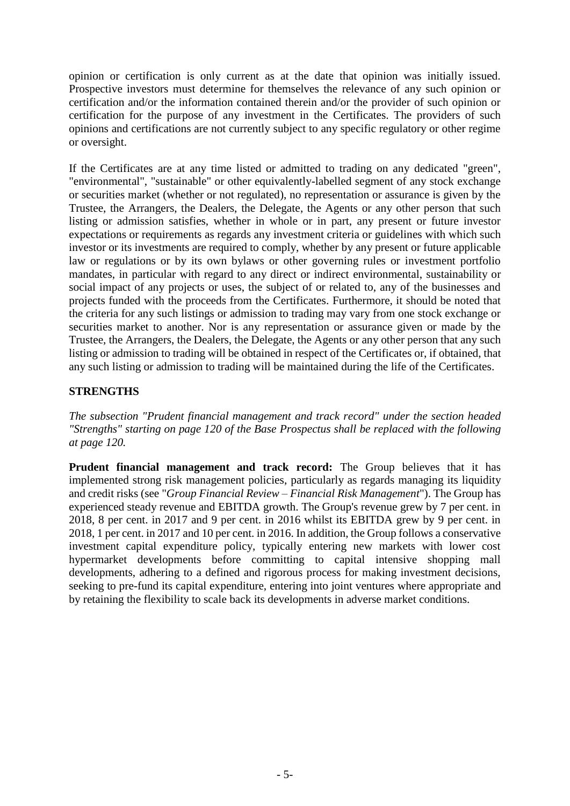opinion or certification is only current as at the date that opinion was initially issued. Prospective investors must determine for themselves the relevance of any such opinion or certification and/or the information contained therein and/or the provider of such opinion or certification for the purpose of any investment in the Certificates. The providers of such opinions and certifications are not currently subject to any specific regulatory or other regime or oversight.

If the Certificates are at any time listed or admitted to trading on any dedicated "green", "environmental", "sustainable" or other equivalently-labelled segment of any stock exchange or securities market (whether or not regulated), no representation or assurance is given by the Trustee, the Arrangers, the Dealers, the Delegate, the Agents or any other person that such listing or admission satisfies, whether in whole or in part, any present or future investor expectations or requirements as regards any investment criteria or guidelines with which such investor or its investments are required to comply, whether by any present or future applicable law or regulations or by its own bylaws or other governing rules or investment portfolio mandates, in particular with regard to any direct or indirect environmental, sustainability or social impact of any projects or uses, the subject of or related to, any of the businesses and projects funded with the proceeds from the Certificates. Furthermore, it should be noted that the criteria for any such listings or admission to trading may vary from one stock exchange or securities market to another. Nor is any representation or assurance given or made by the Trustee, the Arrangers, the Dealers, the Delegate, the Agents or any other person that any such listing or admission to trading will be obtained in respect of the Certificates or, if obtained, that any such listing or admission to trading will be maintained during the life of the Certificates.

# **STRENGTHS**

*The subsection "Prudent financial management and track record" under the section headed "Strengths" starting on page 120 of the Base Prospectus shall be replaced with the following at page 120.*

**Prudent financial management and track record:** The Group believes that it has implemented strong risk management policies, particularly as regards managing its liquidity and credit risks (see "*Group Financial Review – Financial Risk Management*"). The Group has experienced steady revenue and EBITDA growth. The Group's revenue grew by 7 per cent. in 2018, 8 per cent. in 2017 and 9 per cent. in 2016 whilst its EBITDA grew by 9 per cent. in 2018, 1 per cent. in 2017 and 10 per cent. in 2016. In addition, the Group follows a conservative investment capital expenditure policy, typically entering new markets with lower cost hypermarket developments before committing to capital intensive shopping mall developments, adhering to a defined and rigorous process for making investment decisions, seeking to pre-fund its capital expenditure, entering into joint ventures where appropriate and by retaining the flexibility to scale back its developments in adverse market conditions.